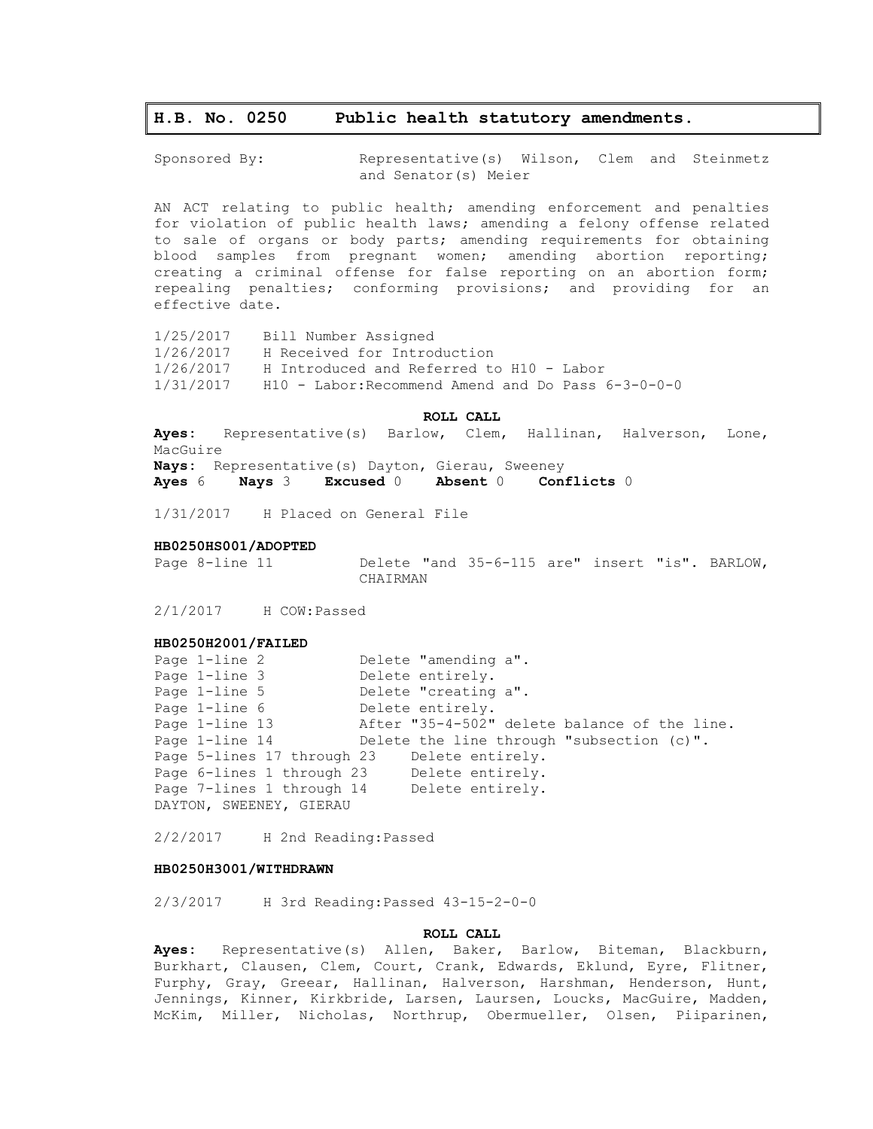# **H.B. No. 0250 Public health statutory amendments.**

Sponsored By: Representative(s) Wilson, Clem and Steinmetz and Senator(s) Meier

AN ACT relating to public health; amending enforcement and penalties for violation of public health laws; amending a felony offense related to sale of organs or body parts; amending requirements for obtaining blood samples from pregnant women; amending abortion reporting; creating a criminal offense for false reporting on an abortion form; repealing penalties; conforming provisions; and providing for an effective date.

1/25/2017 Bill Number Assigned 1/26/2017 H Received for Introduction 1/26/2017 H Introduced and Referred to H10 - Labor 1/31/2017 H10 - Labor:Recommend Amend and Do Pass 6-3-0-0-0

**ROLL CALL**

**Ayes:** Representative(s) Barlow, Clem, Hallinan, Halverson, Lone, MacGuire **Nays:** Representative(s) Dayton, Gierau, Sweeney **Ayes** 6 **Nays** 3 **Excused** 0 **Absent** 0 **Conflicts** 0

1/31/2017 H Placed on General File

## **HB0250HS001/ADOPTED**

Page 8-line 11 Delete "and 35-6-115 are" insert "is". BARLOW, CHAIRMAN

2/1/2017 H COW:Passed

## **HB0250H2001/FAILED**

| Page 1-line 2              | Delete "amending a".                         |
|----------------------------|----------------------------------------------|
| Page 1-line 3              | Delete entirely.                             |
| Page 1-line 5              | Delete "creating a".                         |
| Page 1-line 6              | Delete entirely.                             |
| Page 1-line 13             | After "35-4-502" delete balance of the line. |
| Page 1-line 14             | Delete the line through "subsection (c)".    |
| Page 5-lines 17 through 23 | Delete entirely.                             |
|                            | Page 6-lines 1 through 23 Delete entirely.   |
| Page 7-lines 1 through 14  | Delete entirely.                             |
| DAYTON, SWEENEY, GIERAU    |                                              |

2/2/2017 H 2nd Reading:Passed

## **HB0250H3001/WITHDRAWN**

2/3/2017 H 3rd Reading:Passed 43-15-2-0-0

#### **ROLL CALL**

**Ayes:** Representative(s) Allen, Baker, Barlow, Biteman, Blackburn, Burkhart, Clausen, Clem, Court, Crank, Edwards, Eklund, Eyre, Flitner, Furphy, Gray, Greear, Hallinan, Halverson, Harshman, Henderson, Hunt, Jennings, Kinner, Kirkbride, Larsen, Laursen, Loucks, MacGuire, Madden, McKim, Miller, Nicholas, Northrup, Obermueller, Olsen, Piiparinen,